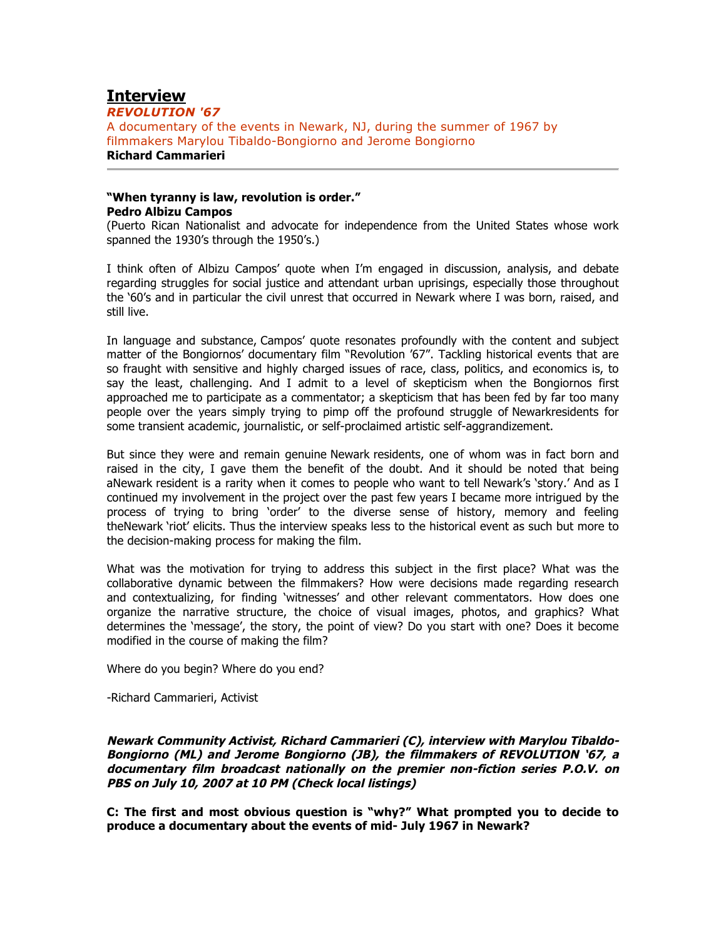# **Interview**

*REVOLUTION '67* A documentary of the events in Newark, NJ, during the summer of 1967 by filmmakers Marylou Tibaldo-Bongiorno and Jerome Bongiorno **Richard Cammarieri**

# **"When tyranny is law, revolution is order." Pedro Albizu Campos**

(Puerto Rican Nationalist and advocate for independence from the United States whose work spanned the 1930's through the 1950's.)

I think often of Albizu Campos' quote when I'm engaged in discussion, analysis, and debate regarding struggles for social justice and attendant urban uprisings, especially those throughout the '60's and in particular the civil unrest that occurred in Newark where I was born, raised, and still live.

In language and substance, Campos' quote resonates profoundly with the content and subject matter of the Bongiornos' documentary film "Revolution '67". Tackling historical events that are so fraught with sensitive and highly charged issues of race, class, politics, and economics is, to say the least, challenging. And I admit to a level of skepticism when the Bongiornos first approached me to participate as a commentator; a skepticism that has been fed by far too many people over the years simply trying to pimp off the profound struggle of Newarkresidents for some transient academic, journalistic, or self-proclaimed artistic self-aggrandizement.

But since they were and remain genuine Newark residents, one of whom was in fact born and raised in the city, I gave them the benefit of the doubt. And it should be noted that being aNewark resident is a rarity when it comes to people who want to tell Newark's 'story.' And as I continued my involvement in the project over the past few years I became more intrigued by the process of trying to bring 'order' to the diverse sense of history, memory and feeling theNewark 'riot' elicits. Thus the interview speaks less to the historical event as such but more to the decision-making process for making the film.

What was the motivation for trying to address this subject in the first place? What was the collaborative dynamic between the filmmakers? How were decisions made regarding research and contextualizing, for finding 'witnesses' and other relevant commentators. How does one organize the narrative structure, the choice of visual images, photos, and graphics? What determines the 'message', the story, the point of view? Do you start with one? Does it become modified in the course of making the film?

Where do you begin? Where do you end?

-Richard Cammarieri, Activist

**Newark Community Activist, Richard Cammarieri (C), interview with Marylou Tibaldo-Bongiorno (ML) and Jerome Bongiorno (JB), the filmmakers of REVOLUTION '67, a documentary film broadcast nationally on the premier non-fiction series P.O.V. on PBS on July 10, 2007 at 10 PM (Check local listings)**

**C: The first and most obvious question is "why?" What prompted you to decide to produce a documentary about the events of mid- July 1967 in Newark?**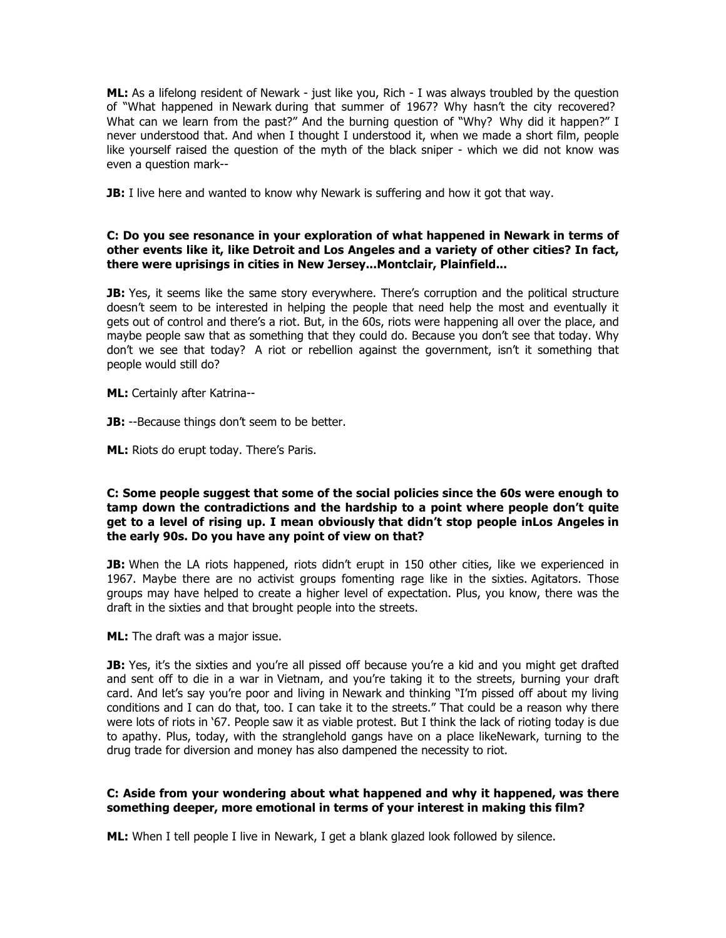**ML:** As a lifelong resident of Newark - just like you, Rich - I was always troubled by the question of "What happened in Newark during that summer of 1967? Why hasn't the city recovered? What can we learn from the past?" And the burning question of "Why? Why did it happen?" I never understood that. And when I thought I understood it, when we made a short film, people like yourself raised the question of the myth of the black sniper - which we did not know was even a question mark--

**JB:** I live here and wanted to know why Newark is suffering and how it got that way.

# **C: Do you see resonance in your exploration of what happened in Newark in terms of other events like it, like Detroit and Los Angeles and a variety of other cities? In fact, there were uprisings in cities in New Jersey...Montclair, Plainfield...**

**JB:** Yes, it seems like the same story everywhere. There's corruption and the political structure doesn't seem to be interested in helping the people that need help the most and eventually it gets out of control and there's a riot. But, in the 60s, riots were happening all over the place, and maybe people saw that as something that they could do. Because you don't see that today. Why don't we see that today? A riot or rebellion against the government, isn't it something that people would still do?

**ML:** Certainly after Katrina--

**JB:** --Because things don't seem to be better.

**ML:** Riots do erupt today. There's Paris.

## **C: Some people suggest that some of the social policies since the 60s were enough to tamp down the contradictions and the hardship to a point where people don't quite get to a level of rising up. I mean obviously that didn't stop people inLos Angeles in the early 90s. Do you have any point of view on that?**

**JB:** When the LA riots happened, riots didn't erupt in 150 other cities, like we experienced in 1967. Maybe there are no activist groups fomenting rage like in the sixties. Agitators. Those groups may have helped to create a higher level of expectation. Plus, you know, there was the draft in the sixties and that brought people into the streets.

**ML:** The draft was a major issue.

**JB:** Yes, it's the sixties and you're all pissed off because you're a kid and you might get drafted and sent off to die in a war in Vietnam, and you're taking it to the streets, burning your draft card. And let's say you're poor and living in Newark and thinking "I'm pissed off about my living conditions and I can do that, too. I can take it to the streets." That could be a reason why there were lots of riots in '67. People saw it as viable protest. But I think the lack of rioting today is due to apathy. Plus, today, with the stranglehold gangs have on a place likeNewark, turning to the drug trade for diversion and money has also dampened the necessity to riot.

# **C: Aside from your wondering about what happened and why it happened, was there something deeper, more emotional in terms of your interest in making this film?**

**ML:** When I tell people I live in Newark, I get a blank glazed look followed by silence.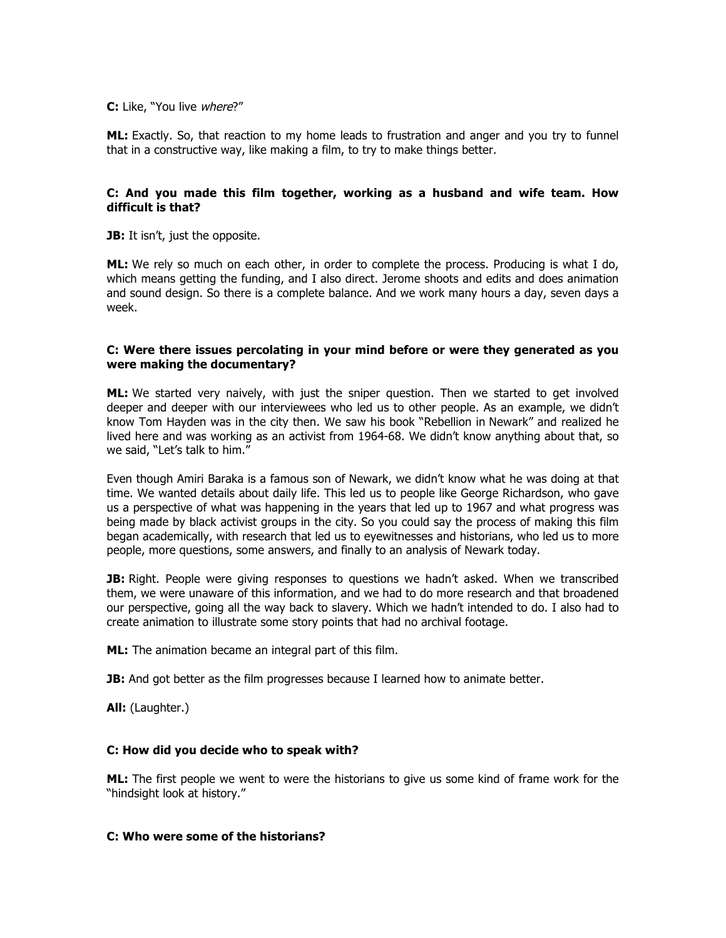#### **C:** Like, "You live where?"

**ML:** Exactly. So, that reaction to my home leads to frustration and anger and you try to funnel that in a constructive way, like making a film, to try to make things better.

# **C: And you made this film together, working as a husband and wife team. How difficult is that?**

**JB:** It isn't, just the opposite.

**ML:** We rely so much on each other, in order to complete the process. Producing is what I do, which means getting the funding, and I also direct. Jerome shoots and edits and does animation and sound design. So there is a complete balance. And we work many hours a day, seven days a week.

## **C: Were there issues percolating in your mind before or were they generated as you were making the documentary?**

**ML:** We started very naively, with just the sniper question. Then we started to get involved deeper and deeper with our interviewees who led us to other people. As an example, we didn't know Tom Hayden was in the city then. We saw his book "Rebellion in Newark" and realized he lived here and was working as an activist from 1964-68. We didn't know anything about that, so we said, "Let's talk to him."

Even though Amiri Baraka is a famous son of Newark, we didn't know what he was doing at that time. We wanted details about daily life. This led us to people like George Richardson, who gave us a perspective of what was happening in the years that led up to 1967 and what progress was being made by black activist groups in the city. So you could say the process of making this film began academically, with research that led us to eyewitnesses and historians, who led us to more people, more questions, some answers, and finally to an analysis of Newark today.

**JB:** Right. People were giving responses to questions we hadn't asked. When we transcribed them, we were unaware of this information, and we had to do more research and that broadened our perspective, going all the way back to slavery. Which we hadn't intended to do. I also had to create animation to illustrate some story points that had no archival footage.

**ML:** The animation became an integral part of this film.

**JB:** And got better as the film progresses because I learned how to animate better.

**All:** (Laughter.)

#### **C: How did you decide who to speak with?**

**ML:** The first people we went to were the historians to give us some kind of frame work for the "hindsight look at history."

## **C: Who were some of the historians?**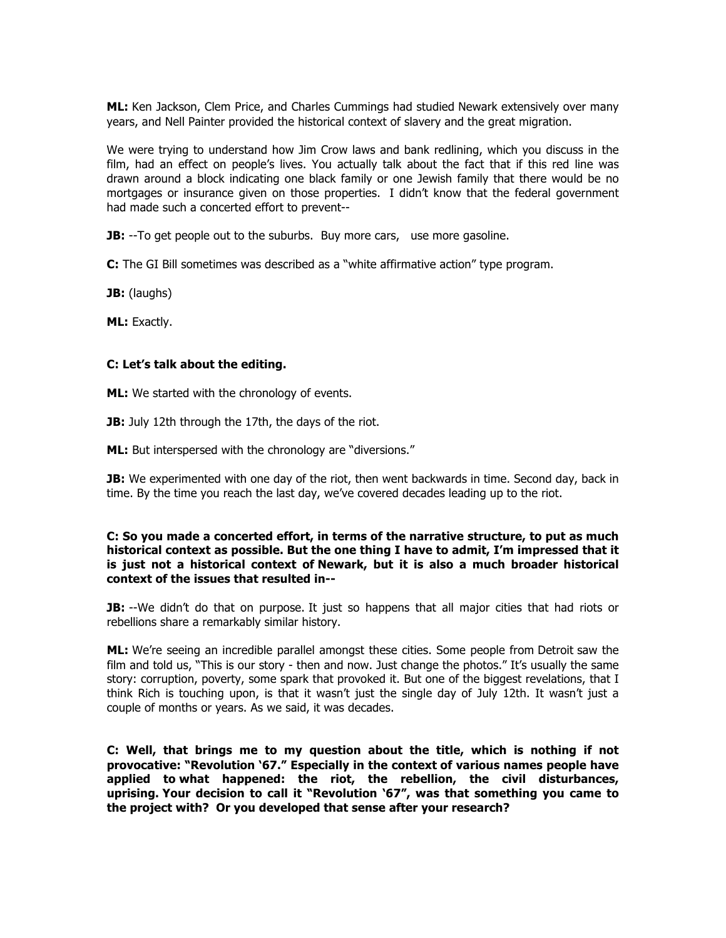**ML:** Ken Jackson, Clem Price, and Charles Cummings had studied Newark extensively over many years, and Nell Painter provided the historical context of slavery and the great migration.

We were trying to understand how Jim Crow laws and bank redlining, which you discuss in the film, had an effect on people's lives. You actually talk about the fact that if this red line was drawn around a block indicating one black family or one Jewish family that there would be no mortgages or insurance given on those properties. I didn't know that the federal government had made such a concerted effort to prevent--

**JB:** --To get people out to the suburbs. Buy more cars, use more gasoline.

**C:** The GI Bill sometimes was described as a "white affirmative action" type program.

**JB:** (laughs)

**ML:** Exactly.

#### **C: Let's talk about the editing.**

**ML:** We started with the chronology of events.

**JB:** July 12th through the 17th, the days of the riot.

**ML:** But interspersed with the chronology are "diversions."

**JB:** We experimented with one day of the riot, then went backwards in time. Second day, back in time. By the time you reach the last day, we've covered decades leading up to the riot.

# **C: So you made a concerted effort, in terms of the narrative structure, to put as much historical context as possible. But the one thing I have to admit, I'm impressed that it is just not a historical context of Newark, but it is also a much broader historical context of the issues that resulted in--**

**JB:** --We didn't do that on purpose. It just so happens that all major cities that had riots or rebellions share a remarkably similar history.

**ML:** We're seeing an incredible parallel amongst these cities. Some people from Detroit saw the film and told us, "This is our story - then and now. Just change the photos." It's usually the same story: corruption, poverty, some spark that provoked it. But one of the biggest revelations, that I think Rich is touching upon, is that it wasn't just the single day of July 12th. It wasn't just a couple of months or years. As we said, it was decades.

**C: Well, that brings me to my question about the title, which is nothing if not provocative: "Revolution '67." Especially in the context of various names people have applied to what happened: the riot, the rebellion, the civil disturbances, uprising. Your decision to call it "Revolution '67", was that something you came to the project with? Or you developed that sense after your research?**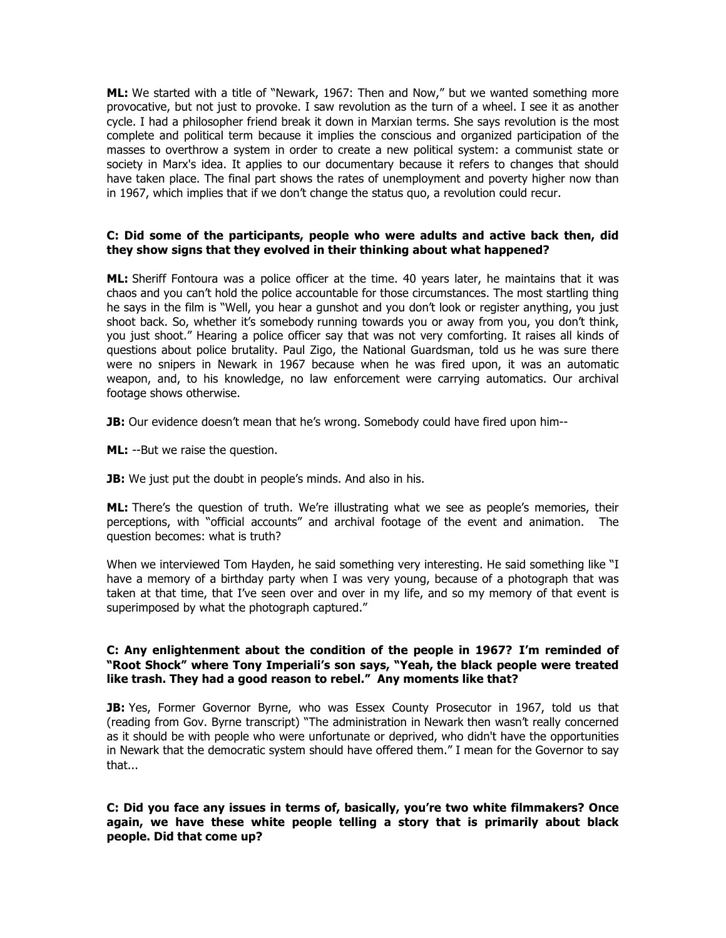**ML:** We started with a title of "Newark, 1967: Then and Now," but we wanted something more provocative, but not just to provoke. I saw revolution as the turn of a wheel. I see it as another cycle. I had a philosopher friend break it down in Marxian terms. She says revolution is the most complete and political term because it implies the conscious and organized participation of the masses to overthrow a system in order to create a new political system: a communist state or society in Marx's idea. It applies to our documentary because it refers to changes that should have taken place. The final part shows the rates of unemployment and poverty higher now than in 1967, which implies that if we don't change the status quo, a revolution could recur.

# **C: Did some of the participants, people who were adults and active back then, did they show signs that they evolved in their thinking about what happened?**

**ML:** Sheriff Fontoura was a police officer at the time. 40 years later, he maintains that it was chaos and you can't hold the police accountable for those circumstances. The most startling thing he says in the film is "Well, you hear a gunshot and you don't look or register anything, you just shoot back. So, whether it's somebody running towards you or away from you, you don't think, you just shoot." Hearing a police officer say that was not very comforting. It raises all kinds of questions about police brutality. Paul Zigo, the National Guardsman, told us he was sure there were no snipers in Newark in 1967 because when he was fired upon, it was an automatic weapon, and, to his knowledge, no law enforcement were carrying automatics. Our archival footage shows otherwise.

**JB:** Our evidence doesn't mean that he's wrong. Somebody could have fired upon him--

**ML:** --But we raise the question.

**JB:** We just put the doubt in people's minds. And also in his.

ML: There's the question of truth. We're illustrating what we see as people's memories, their perceptions, with "official accounts" and archival footage of the event and animation. The question becomes: what is truth?

When we interviewed Tom Hayden, he said something very interesting. He said something like "I have a memory of a birthday party when I was very young, because of a photograph that was taken at that time, that I've seen over and over in my life, and so my memory of that event is superimposed by what the photograph captured."

## **C: Any enlightenment about the condition of the people in 1967? I'm reminded of "Root Shock" where Tony Imperiali's son says, "Yeah, the black people were treated like trash. They had a good reason to rebel." Any moments like that?**

**JB:** Yes, Former Governor Byrne, who was Essex County Prosecutor in 1967, told us that (reading from Gov. Byrne transcript) "The administration in Newark then wasn't really concerned as it should be with people who were unfortunate or deprived, who didn't have the opportunities in Newark that the democratic system should have offered them." I mean for the Governor to say that...

# **C: Did you face any issues in terms of, basically, you're two white filmmakers? Once again, we have these white people telling a story that is primarily about black people. Did that come up?**